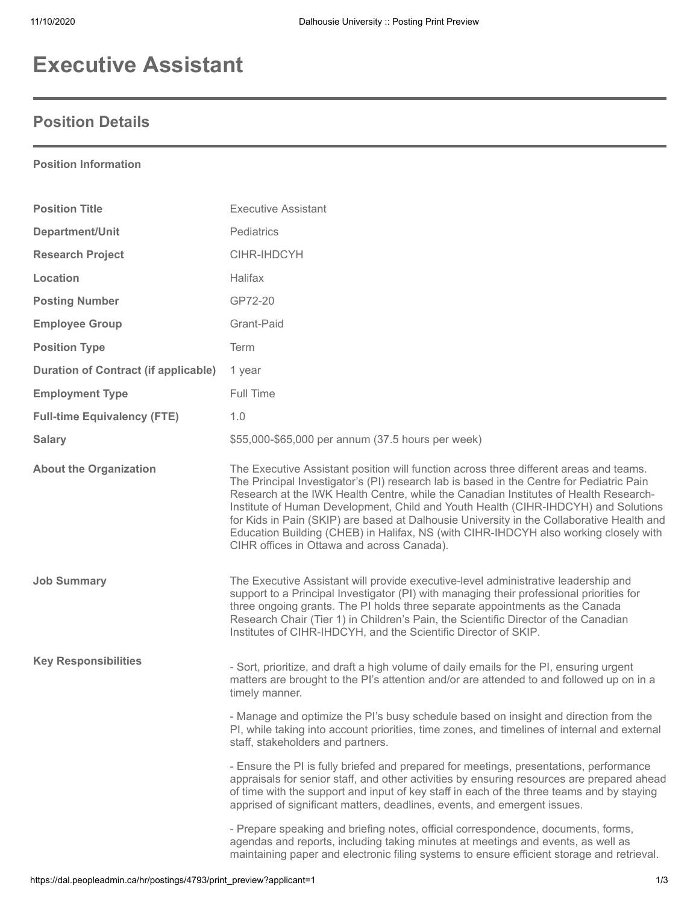## **Executive Assistant**

## **Position Details**

**Position Information**

## **Position Title Executive Assistant Department/Unit** Pediatrics **Research Project** CIHR-IHDCYH **Location** Halifax **Posting Number** GP72-20 **Employee Group** Grant-Paid **Position Type Term Duration of Contract (if applicable)** 1 year **Employment Type** Full Time **Full-time Equivalency (FTE)** 1.0 **Salary \$55,000-\$65,000 per annum (37.5 hours per week) Salary About the Organization** The Executive Assistant position will function across three different areas and teams. The Principal Investigator's (PI) research lab is based in the Centre for Pediatric Pain Research at the IWK Health Centre, while the Canadian Institutes of Health Research-Institute of Human Development, Child and Youth Health (CIHR-IHDCYH) and Solutions for Kids in Pain (SKIP) are based at Dalhousie University in the Collaborative Health and Education Building (CHEB) in Halifax, NS (with CIHR-IHDCYH also working closely with CIHR offices in Ottawa and across Canada). **Job Summary The Executive Assistant will provide executive-level administrative leadership and** support to a Principal Investigator (PI) with managing their professional priorities for three ongoing grants. The PI holds three separate appointments as the Canada Research Chair (Tier 1) in Children's Pain, the Scientific Director of the Canadian Institutes of CIHR-IHDCYH, and the Scientific Director of SKIP. **Key Responsibilities** - Sort, prioritize, and draft a high volume of daily emails for the PI, ensuring urgent matters are brought to the PI's attention and/or are attended to and followed up on in a timely manner. - Manage and optimize the PI's busy schedule based on insight and direction from the PI, while taking into account priorities, time zones, and timelines of internal and external staff, stakeholders and partners. - Ensure the PI is fully briefed and prepared for meetings, presentations, performance appraisals for senior staff, and other activities by ensuring resources are prepared ahead of time with the support and input of key staff in each of the three teams and by staying apprised of significant matters, deadlines, events, and emergent issues. - Prepare speaking and briefing notes, official correspondence, documents, forms, agendas and reports, including taking minutes at meetings and events, as well as maintaining paper and electronic filing systems to ensure efficient storage and retrieval.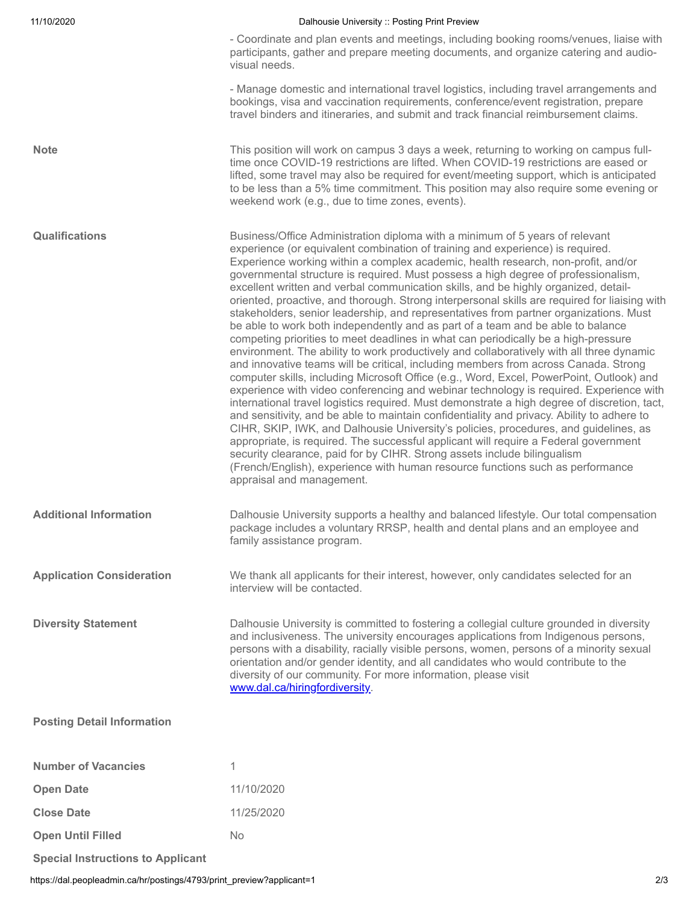| 11/10/2020                               | Dalhousie University :: Posting Print Preview                                                                                                                                                                                                                                                                                                                                                                                                                                                                                                                                                                                                                                                                                                                                                                                                                                                                                                                                                                                                                                                                                                                                                                                                                                                                                                                                                                                                                                                                                                                                                                                                                                                                                                         |
|------------------------------------------|-------------------------------------------------------------------------------------------------------------------------------------------------------------------------------------------------------------------------------------------------------------------------------------------------------------------------------------------------------------------------------------------------------------------------------------------------------------------------------------------------------------------------------------------------------------------------------------------------------------------------------------------------------------------------------------------------------------------------------------------------------------------------------------------------------------------------------------------------------------------------------------------------------------------------------------------------------------------------------------------------------------------------------------------------------------------------------------------------------------------------------------------------------------------------------------------------------------------------------------------------------------------------------------------------------------------------------------------------------------------------------------------------------------------------------------------------------------------------------------------------------------------------------------------------------------------------------------------------------------------------------------------------------------------------------------------------------------------------------------------------------|
|                                          | - Coordinate and plan events and meetings, including booking rooms/venues, liaise with<br>participants, gather and prepare meeting documents, and organize catering and audio-<br>visual needs.                                                                                                                                                                                                                                                                                                                                                                                                                                                                                                                                                                                                                                                                                                                                                                                                                                                                                                                                                                                                                                                                                                                                                                                                                                                                                                                                                                                                                                                                                                                                                       |
|                                          | - Manage domestic and international travel logistics, including travel arrangements and<br>bookings, visa and vaccination requirements, conference/event registration, prepare<br>travel binders and itineraries, and submit and track financial reimbursement claims.                                                                                                                                                                                                                                                                                                                                                                                                                                                                                                                                                                                                                                                                                                                                                                                                                                                                                                                                                                                                                                                                                                                                                                                                                                                                                                                                                                                                                                                                                |
| <b>Note</b>                              | This position will work on campus 3 days a week, returning to working on campus full-<br>time once COVID-19 restrictions are lifted. When COVID-19 restrictions are eased or<br>lifted, some travel may also be required for event/meeting support, which is anticipated<br>to be less than a 5% time commitment. This position may also require some evening or<br>weekend work (e.g., due to time zones, events).                                                                                                                                                                                                                                                                                                                                                                                                                                                                                                                                                                                                                                                                                                                                                                                                                                                                                                                                                                                                                                                                                                                                                                                                                                                                                                                                   |
| <b>Qualifications</b>                    | Business/Office Administration diploma with a minimum of 5 years of relevant<br>experience (or equivalent combination of training and experience) is required.<br>Experience working within a complex academic, health research, non-profit, and/or<br>governmental structure is required. Must possess a high degree of professionalism,<br>excellent written and verbal communication skills, and be highly organized, detail-<br>oriented, proactive, and thorough. Strong interpersonal skills are required for liaising with<br>stakeholders, senior leadership, and representatives from partner organizations. Must<br>be able to work both independently and as part of a team and be able to balance<br>competing priorities to meet deadlines in what can periodically be a high-pressure<br>environment. The ability to work productively and collaboratively with all three dynamic<br>and innovative teams will be critical, including members from across Canada. Strong<br>computer skills, including Microsoft Office (e.g., Word, Excel, PowerPoint, Outlook) and<br>experience with video conferencing and webinar technology is required. Experience with<br>international travel logistics required. Must demonstrate a high degree of discretion, tact,<br>and sensitivity, and be able to maintain confidentiality and privacy. Ability to adhere to<br>CIHR, SKIP, IWK, and Dalhousie University's policies, procedures, and guidelines, as<br>appropriate, is required. The successful applicant will require a Federal government<br>security clearance, paid for by CIHR. Strong assets include bilingualism<br>(French/English), experience with human resource functions such as performance<br>appraisal and management. |
| <b>Additional Information</b>            | Dalhousie University supports a healthy and balanced lifestyle. Our total compensation<br>package includes a voluntary RRSP, health and dental plans and an employee and<br>family assistance program.                                                                                                                                                                                                                                                                                                                                                                                                                                                                                                                                                                                                                                                                                                                                                                                                                                                                                                                                                                                                                                                                                                                                                                                                                                                                                                                                                                                                                                                                                                                                                |
| <b>Application Consideration</b>         | We thank all applicants for their interest, however, only candidates selected for an<br>interview will be contacted.                                                                                                                                                                                                                                                                                                                                                                                                                                                                                                                                                                                                                                                                                                                                                                                                                                                                                                                                                                                                                                                                                                                                                                                                                                                                                                                                                                                                                                                                                                                                                                                                                                  |
| <b>Diversity Statement</b>               | Dalhousie University is committed to fostering a collegial culture grounded in diversity<br>and inclusiveness. The university encourages applications from Indigenous persons,<br>persons with a disability, racially visible persons, women, persons of a minority sexual<br>orientation and/or gender identity, and all candidates who would contribute to the<br>diversity of our community. For more information, please visit<br>www.dal.ca/hiringfordiversity.                                                                                                                                                                                                                                                                                                                                                                                                                                                                                                                                                                                                                                                                                                                                                                                                                                                                                                                                                                                                                                                                                                                                                                                                                                                                                  |
| <b>Posting Detail Information</b>        |                                                                                                                                                                                                                                                                                                                                                                                                                                                                                                                                                                                                                                                                                                                                                                                                                                                                                                                                                                                                                                                                                                                                                                                                                                                                                                                                                                                                                                                                                                                                                                                                                                                                                                                                                       |
| <b>Number of Vacancies</b>               | 1                                                                                                                                                                                                                                                                                                                                                                                                                                                                                                                                                                                                                                                                                                                                                                                                                                                                                                                                                                                                                                                                                                                                                                                                                                                                                                                                                                                                                                                                                                                                                                                                                                                                                                                                                     |
| <b>Open Date</b>                         | 11/10/2020                                                                                                                                                                                                                                                                                                                                                                                                                                                                                                                                                                                                                                                                                                                                                                                                                                                                                                                                                                                                                                                                                                                                                                                                                                                                                                                                                                                                                                                                                                                                                                                                                                                                                                                                            |
| <b>Close Date</b>                        | 11/25/2020                                                                                                                                                                                                                                                                                                                                                                                                                                                                                                                                                                                                                                                                                                                                                                                                                                                                                                                                                                                                                                                                                                                                                                                                                                                                                                                                                                                                                                                                                                                                                                                                                                                                                                                                            |
| <b>Open Until Filled</b>                 | No                                                                                                                                                                                                                                                                                                                                                                                                                                                                                                                                                                                                                                                                                                                                                                                                                                                                                                                                                                                                                                                                                                                                                                                                                                                                                                                                                                                                                                                                                                                                                                                                                                                                                                                                                    |
| <b>Special Instructions to Applicant</b> |                                                                                                                                                                                                                                                                                                                                                                                                                                                                                                                                                                                                                                                                                                                                                                                                                                                                                                                                                                                                                                                                                                                                                                                                                                                                                                                                                                                                                                                                                                                                                                                                                                                                                                                                                       |